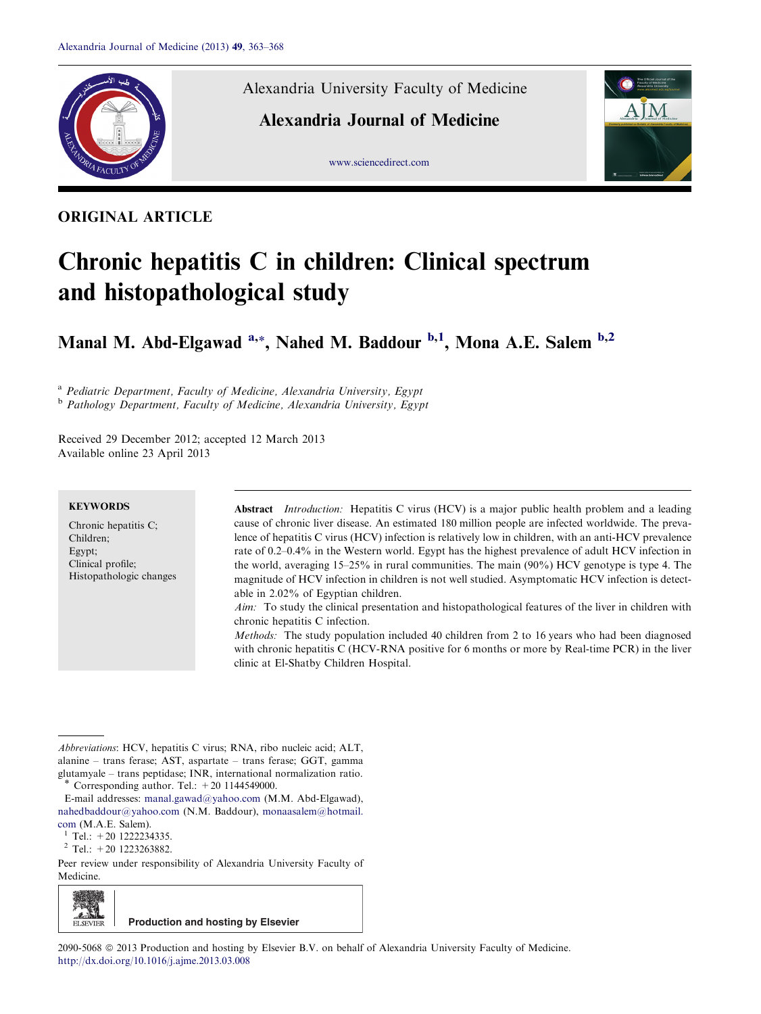

ORIGINAL ARTICLE

Alexandria University Faculty of Medicine

Alexandria Journal of Medicine





# Chronic hepatitis C in children: Clinical spectrum and histopathological study

Manal M. Abd-Elgawad <sup>a,\*</sup>, Nahed M. Baddour <sup>b,1</sup>, Mona A.E. Salem <sup>b,2</sup>

<sup>a</sup> Pediatric Department, Faculty of Medicine, Alexandria University, Egypt b Pathology Department, Faculty of Medicine, Alexandria University, Egypt

Received 29 December 2012; accepted 12 March 2013 Available online 23 April 2013

## **KEYWORDS**

Chronic hepatitis C; Children; Egypt; Clinical profile; Histopathologic changes Abstract *Introduction:* Hepatitis C virus (HCV) is a major public health problem and a leading cause of chronic liver disease. An estimated 180 million people are infected worldwide. The prevalence of hepatitis C virus (HCV) infection is relatively low in children, with an anti-HCV prevalence rate of 0.2–0.4% in the Western world. Egypt has the highest prevalence of adult HCV infection in the world, averaging 15–25% in rural communities. The main (90%) HCV genotype is type 4. The magnitude of HCV infection in children is not well studied. Asymptomatic HCV infection is detectable in 2.02% of Egyptian children.

Aim: To study the clinical presentation and histopathological features of the liver in children with chronic hepatitis C infection.

Methods: The study population included 40 children from 2 to 16 years who had been diagnosed with chronic hepatitis C (HCV-RNA positive for 6 months or more by Real-time PCR) in the liver clinic at El-Shatby Children Hospital.

Abbreviations: HCV, hepatitis C virus; RNA, ribo nucleic acid; ALT, alanine – trans ferase; AST, aspartate – trans ferase; GGT, gamma glutamyale – trans peptidase; INR, international normalization ratio. Corresponding author. Tel.:  $+20$  1144549000.

E-mail addresses: [manal.gawad@yahoo.com](mailto:manal.gawad@yahoo.com) (M.M. Abd-Elgawad), [nahedbaddour@yahoo.com](mailto:nahedbaddour@yahoo.com) (N.M. Baddour), [monaasalem@hotmail.](mailto:monaasalem@hotmail. com) [com](mailto:monaasalem@hotmail. com) (M.A.E. Salem).<br><sup>1</sup> Tel.: +20 1222234335.<br><sup>2</sup> Tel.: +20 1223263882.

Peer review under responsibility of Alexandria University Faculty of Medicine.

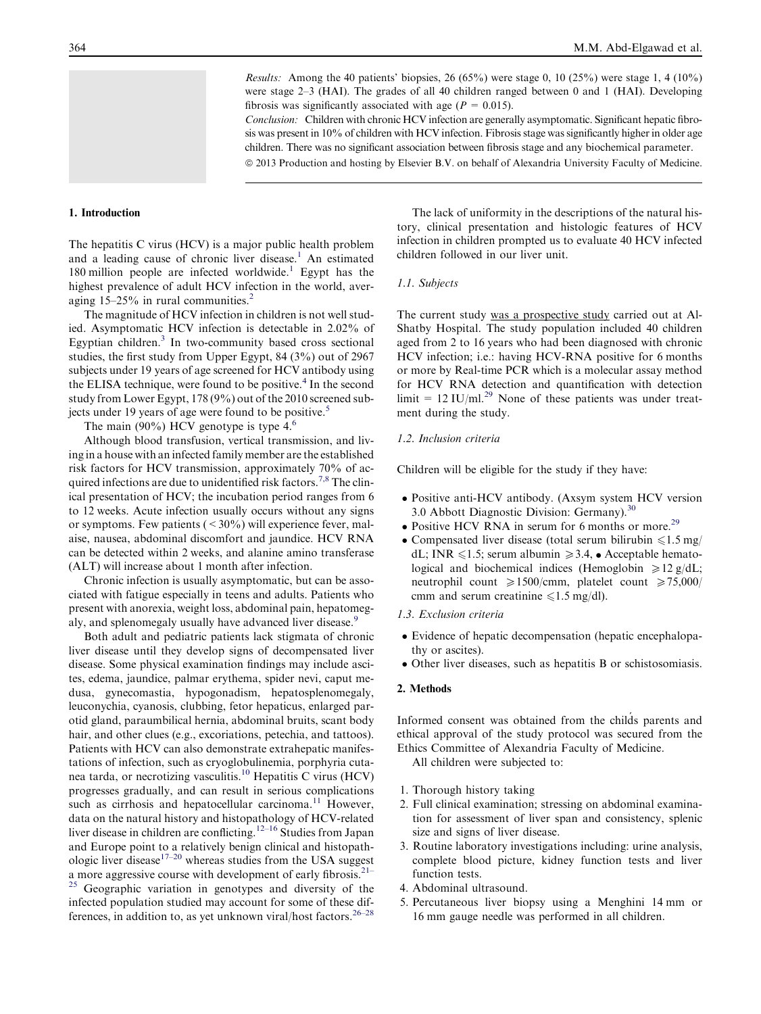*Results:* Among the 40 patients' biopsies, 26 (65%) were stage 0, 10 (25%) were stage 1, 4 (10%) were stage 2–3 (HAI). The grades of all 40 children ranged between 0 and 1 (HAI). Developing fibrosis was significantly associated with age ( $P = 0.015$ ).

Conclusion: Children with chronic HCV infection are generally asymptomatic. Significant hepatic fibrosis was present in 10% of children with HCV infection. Fibrosis stage was significantly higher in older age children. There was no significant association between fibrosis stage and any biochemical parameter. ª 2013 Production and hosting by Elsevier B.V. on behalf of Alexandria University Faculty of Medicine.

## 1. Introduction

The hepatitis C virus (HCV) is a major public health problem and a leading cause of chronic liver disease.<sup>[1](#page-4-0)</sup> An estimated [1](#page-4-0)80 million people are infected worldwide.<sup>1</sup> Egypt has the highest prevalence of adult HCV infection in the world, averaging  $15-25\%$  $15-25\%$  $15-25\%$  in rural communities.<sup>2</sup>

The magnitude of HCV infection in children is not well studied. Asymptomatic HCV infection is detectable in 2.02% of Egyptian children.[3](#page-4-0) In two-community based cross sectional studies, the first study from Upper Egypt, 84 (3%) out of 2967 subjects under 19 years of age screened for HCV antibody using the ELISA technique, were found to be positive.<sup>[4](#page-4-0)</sup> In the second study from Lower Egypt, 178 (9%) out of the 2010 screened sub-jects under 19 years of age were found to be positive.<sup>[5](#page-4-0)</sup>

The main (90%) HCV genotype is type  $4<sup>6</sup>$  $4<sup>6</sup>$  $4<sup>6</sup>$ 

Although blood transfusion, vertical transmission, and living in a house with an infected family member are the established risk factors for HCV transmission, approximately 70% of acquired infections are due to unidentified risk factors.<sup>7,8</sup> The clinical presentation of HCV; the incubation period ranges from 6 to 12 weeks. Acute infection usually occurs without any signs or symptoms. Few patients  $(< 30\%$ ) will experience fever, malaise, nausea, abdominal discomfort and jaundice. HCV RNA can be detected within 2 weeks, and alanine amino transferase (ALT) will increase about 1 month after infection.

Chronic infection is usually asymptomatic, but can be associated with fatigue especially in teens and adults. Patients who present with anorexia, weight loss, abdominal pain, hepatomeg-aly, and splenomegaly usually have advanced liver disease.<sup>[9](#page-4-0)</sup>

Both adult and pediatric patients lack stigmata of chronic liver disease until they develop signs of decompensated liver disease. Some physical examination findings may include ascites, edema, jaundice, palmar erythema, spider nevi, caput medusa, gynecomastia, hypogonadism, hepatosplenomegaly, leuconychia, cyanosis, clubbing, fetor hepaticus, enlarged parotid gland, paraumbilical hernia, abdominal bruits, scant body hair, and other clues (e.g., excoriations, petechia, and tattoos). Patients with HCV can also demonstrate extrahepatic manifestations of infection, such as cryoglobulinemia, porphyria cutanea tarda, or necrotizing vasculitis.[10](#page-4-0) Hepatitis C virus (HCV) progresses gradually, and can result in serious complications such as cirrhosis and hepatocellular carcinoma.<sup>[11](#page-4-0)</sup> However, data on the natural history and histopathology of HCV-related liver disease in children are conflicting.<sup>[12–16](#page-4-0)</sup> Studies from Japan and Europe point to a relatively benign clinical and histopath-ologic liver disease<sup>[17–20](#page-4-0)</sup> whereas studies from the USA suggest a more aggressive course with development of early fibrosis.<sup>[21–](#page-4-0)</sup>

<sup>[25](#page-4-0)</sup> Geographic variation in genotypes and diversity of the infected population studied may account for some of these differences, in addition to, as yet unknown viral/host factors.  $26-28$ 

The lack of uniformity in the descriptions of the natural history, clinical presentation and histologic features of HCV infection in children prompted us to evaluate 40 HCV infected children followed in our liver unit.

## 1.1. Subjects

The current study was a prospective study carried out at Al-Shatby Hospital. The study population included 40 children aged from 2 to 16 years who had been diagnosed with chronic HCV infection; i.e.: having HCV-RNA positive for 6 months or more by Real-time PCR which is a molecular assay method for HCV RNA detection and quantification with detection limit =  $12$  IU/ml.<sup>[29](#page-4-0)</sup> None of these patients was under treatment during the study.

#### 1.2. Inclusion criteria

Children will be eligible for the study if they have:

- Positive anti-HCV antibody. (Axsym system HCV version 3.0 Abbott Diagnostic Division: Germany).[30](#page-4-0)
- Positive HCV RNA in serum for 6 months or more.<sup>[29](#page-4-0)</sup>
- Compensated liver disease (total serum bilirubin  $\leq 1.5$  mg/ dL; INR  $\leq 1.5$ ; serum albumin  $\geq 3.4$ ,  $\bullet$  Acceptable hematological and biochemical indices (Hemoglobin  $\geq 12$  g/dL; neutrophil count  $\geq 1500$ /cmm, platelet count  $\geq 75,000$ / cmm and serum creatinine  $\leq 1.5$  mg/dl).

## 1.3. Exclusion criteria

- Evidence of hepatic decompensation (hepatic encephalopathy or ascites).
- Other liver diseases, such as hepatitis B or schistosomiasis.

#### 2. Methods

Informed consent was obtained from the child´s parents and ethical approval of the study protocol was secured from the Ethics Committee of Alexandria Faculty of Medicine.

All children were subjected to:

- 1. Thorough history taking
- 2. Full clinical examination; stressing on abdominal examination for assessment of liver span and consistency, splenic size and signs of liver disease.
- 3. Routine laboratory investigations including: urine analysis, complete blood picture, kidney function tests and liver function tests.
- 4. Abdominal ultrasound.
- 5. Percutaneous liver biopsy using a Menghini 14 mm or 16 mm gauge needle was performed in all children.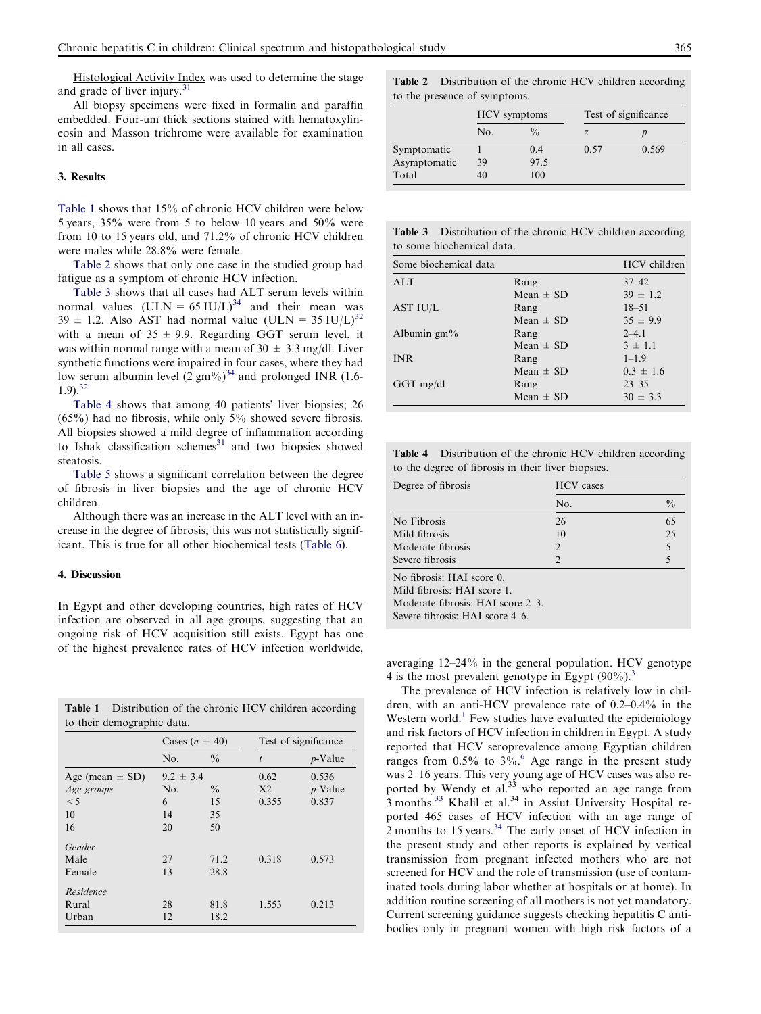Histological Activity Index was used to determine the stage and grade of liver injury.<sup>[31](#page-5-0)</sup>

All biopsy specimens were fixed in formalin and paraffin embedded. Four-um thick sections stained with hematoxylineosin and Masson trichrome were available for examination in all cases.

# 3. Results

Table 1 shows that 15% of chronic HCV children were below 5 years, 35% were from 5 to below 10 years and 50% were from 10 to 15 years old, and 71.2% of chronic HCV children were males while 28.8% were female.

Table 2 shows that only one case in the studied group had fatigue as a symptom of chronic HCV infection.

Table 3 shows that all cases had ALT serum levels within normal values  $(ULN = 65 IU/L)^{34}$  $(ULN = 65 IU/L)^{34}$  $(ULN = 65 IU/L)^{34}$  and their mean was  $39 \pm 1.2$ . Also AST had normal value (ULN = 35 IU/L)<sup>[32](#page-5-0)</sup> with a mean of  $35 \pm 9.9$ . Regarding GGT serum level, it was within normal range with a mean of  $30 \pm 3.3$  mg/dl. Liver synthetic functions were impaired in four cases, where they had low serum albumin level  $(2 \text{ gm\%})^{34}$  $(2 \text{ gm\%})^{34}$  $(2 \text{ gm\%})^{34}$  and prolonged INR (1.6- $1.9$ .  $32$ 

Table 4 shows that among 40 patients' liver biopsies; 26  $(65%)$  had no fibrosis, while only  $5%$  showed severe fibrosis. All biopsies showed a mild degree of inflammation according to Ishak classification schemes $31$  and two biopsies showed steatosis.

[Table 5](#page-3-0) shows a significant correlation between the degree of fibrosis in liver biopsies and the age of chronic HCV children.

Although there was an increase in the ALT level with an increase in the degree of fibrosis; this was not statistically significant. This is true for all other biochemical tests ([Table 6](#page-3-0)).

# 4. Discussion

In Egypt and other developing countries, high rates of HCV infection are observed in all age groups, suggesting that an ongoing risk of HCV acquisition still exists. Egypt has one of the highest prevalence rates of HCV infection worldwide,

| <b>Table 1</b> Distribution of the chronic HCV children according |  |  |  |
|-------------------------------------------------------------------|--|--|--|
| to their demographic data.                                        |  |  |  |

|                                               | Cases $(n = 40)$          |                     | Test of significance            |                              |  |
|-----------------------------------------------|---------------------------|---------------------|---------------------------------|------------------------------|--|
|                                               | No.                       | $\frac{0}{0}$       | $\dot{l}$                       | $p$ -Value                   |  |
| Age (mean $\pm$ SD)<br>Age groups<br>$\leq$ 5 | $9.2 \pm 3.4$<br>No.<br>6 | $\frac{0}{0}$<br>15 | 0.62<br>X <sub>2</sub><br>0.355 | 0.536<br>$p$ -Value<br>0.837 |  |
| 10<br>16                                      | 14<br>20                  | 35<br>50            |                                 |                              |  |
| Gender<br>Male<br>Female                      | 27<br>13                  | 71.2<br>28.8        | 0.318                           | 0.573                        |  |
| Residence<br>Rural<br>Urban                   | 28<br>12                  | 81.8<br>18.2        | 1.553                           | 0.213                        |  |

Table 2 Distribution of the chronic HCV children according to the presence of symptoms.

|              | HCV symptoms |               | Test of significance |       |  |
|--------------|--------------|---------------|----------------------|-------|--|
|              | No.          | $\frac{0}{0}$ |                      |       |  |
| Symptomatic  |              | 0.4           | 0.57                 | 0.569 |  |
| Asymptomatic | 39           | 97.5          |                      |       |  |
| Total        |              | 100           |                      |       |  |

| <b>Table 3</b> Distribution of the chronic HCV children according |  |
|-------------------------------------------------------------------|--|
| to some biochemical data.                                         |  |

| Some biochemical data |               | HCV children  |
|-----------------------|---------------|---------------|
| AI.T                  | Rang          | $37 - 42$     |
|                       | Mean $\pm$ SD | $39 \pm 1.2$  |
| AST IU/L              | Rang          | $18 - 51$     |
|                       | Mean $\pm$ SD | $35 \pm 9.9$  |
| Albumin $gm\%$        | Rang          | $2 - 41$      |
|                       | Mean $\pm$ SD | $3 \pm 1.1$   |
| <b>INR</b>            | Rang          | $1 - 1.9$     |
|                       | Mean $\pm$ SD | $0.3 \pm 1.6$ |
| $GGT$ mg/dl           | Rang          | $23 - 35$     |
|                       | Mean $\pm$ SD | $30 \pm 3.3$  |

Table 4 Distribution of the chronic HCV children according to the degree of fibrosis in their liver biopsies.

| Degree of fibrosis | <b>HCV</b> cases |               |  |
|--------------------|------------------|---------------|--|
|                    | No.              | $\frac{0}{0}$ |  |
| No Fibrosis        | 26               | 65            |  |
| Mild fibrosis      | 10               | 25            |  |
| Moderate fibrosis  | $\mathcal{D}$    |               |  |
| Severe fibrosis    | $\mathcal{D}$    |               |  |
|                    |                  |               |  |

No fibrosis: HAI score 0.

Mild fibrosis: HAI score 1.

Moderate fibrosis: HAI score 2–3.

Severe fibrosis: HAI score 4–6.

averaging 12–24% in the general population. HCV genotype 4 is the most prevalent genotype in Egypt  $(90\%)$ .<sup>3</sup>

The prevalence of HCV infection is relatively low in children, with an anti-HCV prevalence rate of 0.2–0.4% in the Western world.<sup>1</sup> Few studies have evaluated the epidemiology and risk factors of HCV infection in children in Egypt. A study reported that HCV seroprevalence among Egyptian children ranges from  $0.5\%$  to  $3\%$ .<sup>[6](#page-4-0)</sup> Age range in the present study was 2–16 years. This very young age of HCV cases was also reported by Wendy et al.<sup>33</sup> who reported an age range from 3 months.<sup>[33](#page-5-0)</sup> Khalil et al.<sup>34</sup> in Assiut University Hospital reported 465 cases of HCV infection with an age range of 2 months to 15 years.<sup>[34](#page-5-0)</sup> The early onset of HCV infection in the present study and other reports is explained by vertical transmission from pregnant infected mothers who are not screened for HCV and the role of transmission (use of contaminated tools during labor whether at hospitals or at home). In addition routine screening of all mothers is not yet mandatory. Current screening guidance suggests checking hepatitis C antibodies only in pregnant women with high risk factors of a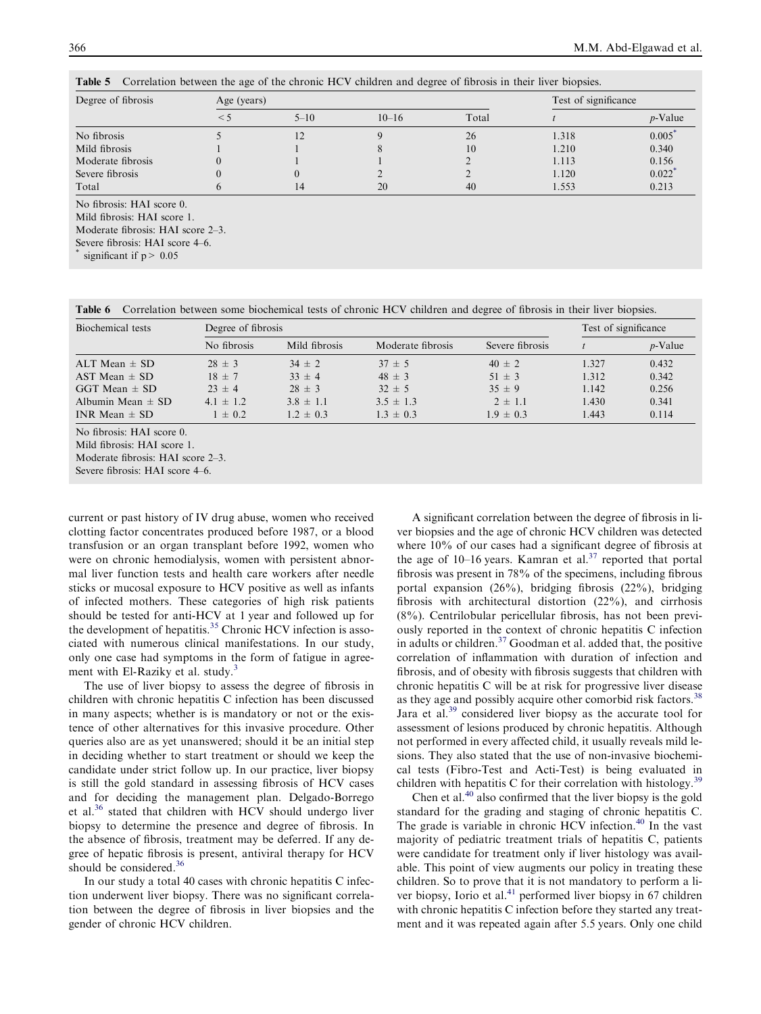| Degree of fibrosis | Age (years) |          |           | Test of significance |       |                      |
|--------------------|-------------|----------|-----------|----------------------|-------|----------------------|
|                    | $\leq 5$    | $5 - 10$ | $10 - 16$ | Total                |       | $p$ -Value           |
| No fibrosis        |             | 12       |           | 26                   | 1.318 | 0.005                |
| Mild fibrosis      |             |          |           | 10                   | 1.210 | 0.340                |
| Moderate fibrosis  |             |          |           |                      | 1.113 | 0.156                |
| Severe fibrosis    |             |          |           |                      | 1.120 | $0.022$ <sup>*</sup> |
| Total              |             |          | 20        | 40                   | 1.553 | 0.213                |

<span id="page-3-0"></span>Table 5 Correlation between the age of the chronic HCV children and degree of fibrosis in their liver biopsies.

No fibrosis: HAI score 0.

Mild fibrosis: HAI score 1.

Moderate fibrosis: HAI score 2–3.

Severe fibrosis: HAI score 4–6.

significant if  $p > 0.05$ 

Table 6 Correlation between some biochemical tests of chronic HCV children and degree of fibrosis in their liver biopsies.

| Biochemical tests         | Degree of fibrosis |               |                   |                 |       | Test of significance |  |
|---------------------------|--------------------|---------------|-------------------|-----------------|-------|----------------------|--|
|                           | No fibrosis        | Mild fibrosis | Moderate fibrosis | Severe fibrosis |       | $p$ -Value           |  |
| $ALT$ Mean $\pm$ SD       | $28 \pm 3$         | $34 \pm 2$    | $37 \pm 5$        | $40 \pm 2$      | 1.327 | 0.432                |  |
| AST Mean $\pm$ SD         | $18 \pm 7$         | $33 \pm 4$    | $48 \pm 3$        | $51 \pm 3$      | 1.312 | 0.342                |  |
| $GGT$ Mean $\pm$ SD       | $23 \pm 4$         | $28 \pm 3$    | $32 \pm 5$        | $35 \pm 9$      | 1.142 | 0.256                |  |
| Albumin Mean $\pm$ SD     | $4.1 \pm 1.2$      | $3.8 \pm 1.1$ | $3.5 \pm 1.3$     | $2 \pm 1.1$     | 1.430 | 0.341                |  |
| INR Mean $\pm$ SD         | $1 \pm 0.2$        | $1.2 \pm 0.3$ | $1.3 \pm 0.3$     | $1.9 \pm 0.3$   | 1.443 | 0.114                |  |
| No fibrosis: HAI score 0. |                    |               |                   |                 |       |                      |  |

Mild fibrosis: HAI score 1.

Moderate fibrosis: HAI score 2–3. Severe fibrosis: HAI score 4–6.

current or past history of IV drug abuse, women who received clotting factor concentrates produced before 1987, or a blood transfusion or an organ transplant before 1992, women who were on chronic hemodialysis, women with persistent abnormal liver function tests and health care workers after needle sticks or mucosal exposure to HCV positive as well as infants of infected mothers. These categories of high risk patients should be tested for anti-HCV at 1 year and followed up for the development of hepatitis.<sup>35</sup> Chronic HCV infection is associated with numerous clinical manifestations. In our study, only one case had symptoms in the form of fatigue in agree-ment with El-Raziky et al. study.<sup>[3](#page-4-0)</sup>

The use of liver biopsy to assess the degree of fibrosis in children with chronic hepatitis C infection has been discussed in many aspects; whether is is mandatory or not or the existence of other alternatives for this invasive procedure. Other queries also are as yet unanswered; should it be an initial step in deciding whether to start treatment or should we keep the candidate under strict follow up. In our practice, liver biopsy is still the gold standard in assessing fibrosis of HCV cases and for deciding the management plan. Delgado-Borrego et al[.36](#page-5-0) stated that children with HCV should undergo liver biopsy to determine the presence and degree of fibrosis. In the absence of fibrosis, treatment may be deferred. If any degree of hepatic fibrosis is present, antiviral therapy for HCV should be considered.<sup>[36](#page-5-0)</sup>

In our study a total 40 cases with chronic hepatitis C infection underwent liver biopsy. There was no significant correlation between the degree of fibrosis in liver biopsies and the gender of chronic HCV children.

A significant correlation between the degree of fibrosis in liver biopsies and the age of chronic HCV children was detected where 10% of our cases had a significant degree of fibrosis at the age of  $10-16$  years. Kamran et al.<sup>[37](#page-5-0)</sup> reported that portal fibrosis was present in 78% of the specimens, including fibrous portal expansion (26%), bridging fibrosis (22%), bridging fibrosis with architectural distortion (22%), and cirrhosis (8%). Centrilobular pericellular fibrosis, has not been previously reported in the context of chronic hepatitis C infection in adults or children. $37$  Goodman et al. added that, the positive correlation of inflammation with duration of infection and fibrosis, and of obesity with fibrosis suggests that children with chronic hepatitis C will be at risk for progressive liver disease as they age and possibly acquire other comorbid risk factors.<sup>38</sup> Jara et al.<sup>[39](#page-5-0)</sup> considered liver biopsy as the accurate tool for assessment of lesions produced by chronic hepatitis. Although not performed in every affected child, it usually reveals mild lesions. They also stated that the use of non-invasive biochemical tests (Fibro-Test and Acti-Test) is being evaluated in children with hepatitis C for their correlation with histology.<sup>[39](#page-5-0)</sup>

Chen et al.<sup>[40](#page-5-0)</sup> also confirmed that the liver biopsy is the gold standard for the grading and staging of chronic hepatitis C. The grade is variable in chronic HCV infection.<sup>[40](#page-5-0)</sup> In the vast majority of pediatric treatment trials of hepatitis C, patients were candidate for treatment only if liver histology was available. This point of view augments our policy in treating these children. So to prove that it is not mandatory to perform a li-ver biopsy, Iorio et al.<sup>[41](#page-5-0)</sup> performed liver biopsy in 67 children with chronic hepatitis C infection before they started any treatment and it was repeated again after 5.5 years. Only one child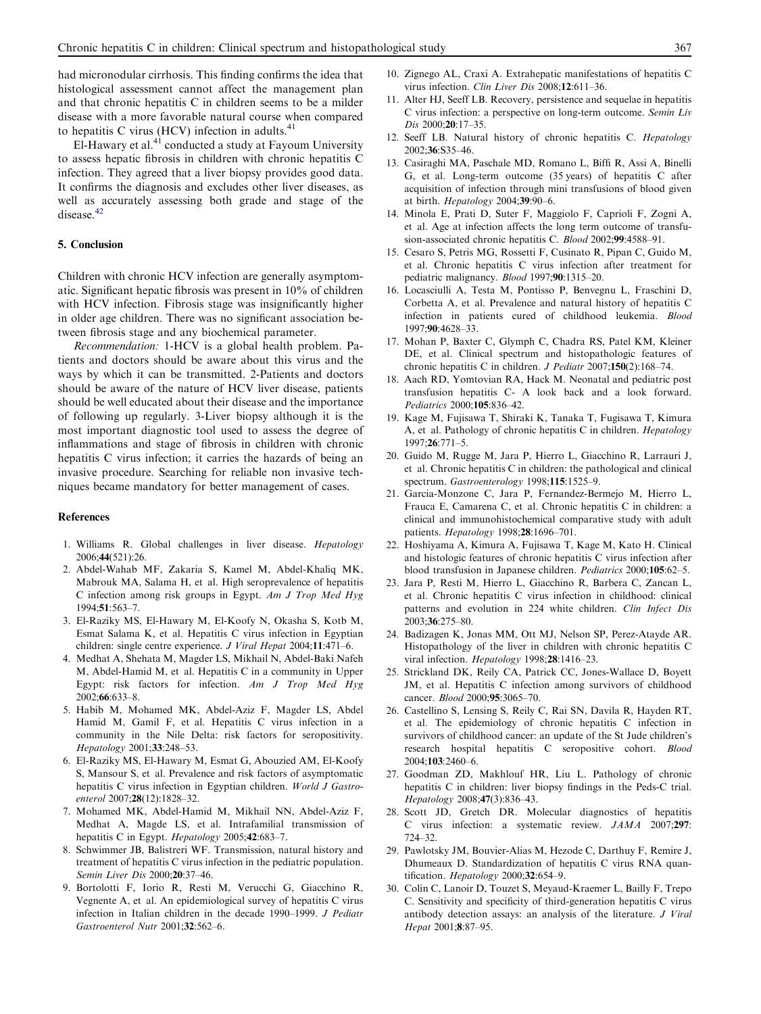<span id="page-4-0"></span>had micronodular cirrhosis. This finding confirms the idea that histological assessment cannot affect the management plan and that chronic hepatitis C in children seems to be a milder disease with a more favorable natural course when compared to hepatitis C virus (HCV) infection in adults. $41$ 

El-Hawary et al. $41$  conducted a study at Fayoum University to assess hepatic fibrosis in children with chronic hepatitis C infection. They agreed that a liver biopsy provides good data. It confirms the diagnosis and excludes other liver diseases, as well as accurately assessing both grade and stage of the disease.<sup>[42](#page-5-0)</sup>

# 5. Conclusion

Children with chronic HCV infection are generally asymptomatic. Significant hepatic fibrosis was present in 10% of children with HCV infection. Fibrosis stage was insignificantly higher in older age children. There was no significant association between fibrosis stage and any biochemical parameter.

Recommendation: 1-HCV is a global health problem. Patients and doctors should be aware about this virus and the ways by which it can be transmitted. 2-Patients and doctors should be aware of the nature of HCV liver disease, patients should be well educated about their disease and the importance of following up regularly. 3-Liver biopsy although it is the most important diagnostic tool used to assess the degree of inflammations and stage of fibrosis in children with chronic hepatitis C virus infection; it carries the hazards of being an invasive procedure. Searching for reliable non invasive techniques became mandatory for better management of cases.

## References

- 1. Williams R. Global challenges in liver disease. Hepatology 2006;44(521):26.
- 2. Abdel-Wahab MF, Zakaria S, Kamel M, Abdel-Khaliq MK, Mabrouk MA, Salama H, et al. High seroprevalence of hepatitis C infection among risk groups in Egypt. Am J Trop Med Hyg 1994;51:563–7.
- 3. El-Raziky MS, El-Hawary M, El-Koofy N, Okasha S, Kotb M, Esmat Salama K, et al. Hepatitis C virus infection in Egyptian children: single centre experience. J Viral Hepat 2004;11:471–6.
- 4. Medhat A, Shehata M, Magder LS, Mikhail N, Abdel-Baki Nafeh M, Abdel-Hamid M, et al. Hepatitis C in a community in Upper Egypt: risk factors for infection. Am J Trop Med Hyg 2002;66:633–8.
- 5. Habib M, Mohamed MK, Abdel-Aziz F, Magder LS, Abdel Hamid M, Gamil F, et al. Hepatitis C virus infection in a community in the Nile Delta: risk factors for seropositivity. Hepatology 2001;33:248–53.
- 6. El-Raziky MS, El-Hawary M, Esmat G, Abouzied AM, El-Koofy S, Mansour S, et al. Prevalence and risk factors of asymptomatic hepatitis C virus infection in Egyptian children. World J Gastroenterol 2007;28(12):1828–32.
- 7. Mohamed MK, Abdel-Hamid M, Mikhail NN, Abdel-Aziz F, Medhat A, Magde LS, et al. Intrafamilial transmission of hepatitis C in Egypt. Hepatology 2005;42:683-7.
- 8. Schwimmer JB, Balistreri WF. Transmission, natural history and treatment of hepatitis C virus infection in the pediatric population. Semin Liver Dis 2000;20:37–46.
- 9. Bortolotti F, Iorio R, Resti M, Verucchi G, Giacchino R, Vegnente A, et al. An epidemiological survey of hepatitis C virus infection in Italian children in the decade 1990–1999. J Pediatr Gastroenterol Nutr 2001;32:562–6.
- 10. Zignego AL, Craxi A. Extrahepatic manifestations of hepatitis C virus infection. Clin Liver Dis 2008;12:611–36.
- 11. Alter HJ, Seeff LB. Recovery, persistence and sequelae in hepatitis C virus infection: a perspective on long-term outcome. Semin Liv Dis 2000:20:17-35.
- 12. Seeff LB. Natural history of chronic hepatitis C. Hepatology 2002;36:S35–46.
- 13. Casiraghi MA, Paschale MD, Romano L, Biffi R, Assi A, Binelli G, et al. Long-term outcome (35 years) of hepatitis C after acquisition of infection through mini transfusions of blood given at birth. Hepatology 2004;39:90–6.
- 14. Minola E, Prati D, Suter F, Maggiolo F, Caprioli F, Zogni A, et al. Age at infection affects the long term outcome of transfusion-associated chronic hepatitis C. Blood 2002;99:4588–91.
- 15. Cesaro S, Petris MG, Rossetti F, Cusinato R, Pipan C, Guido M, et al. Chronic hepatitis C virus infection after treatment for pediatric malignancy. Blood 1997;90:1315–20.
- 16. Locasciulli A, Testa M, Pontisso P, Benvegnu L, Fraschini D, Corbetta A, et al. Prevalence and natural history of hepatitis C infection in patients cured of childhood leukemia. Blood 1997;90:4628–33.
- 17. Mohan P, Baxter C, Glymph C, Chadra RS, Patel KM, Kleiner DE, et al. Clinical spectrum and histopathologic features of chronic hepatitis C in children. J Pediatr 2007;150(2):168–74.
- 18. Aach RD, Yomtovian RA, Hack M. Neonatal and pediatric post transfusion hepatitis C- A look back and a look forward. Pediatrics 2000;105:836–42.
- 19. Kage M, Fujisawa T, Shiraki K, Tanaka T, Fugisawa T, Kimura A, et al. Pathology of chronic hepatitis C in children. Hepatology 1997;26:771–5.
- 20. Guido M, Rugge M, Jara P, Hierro L, Giacchino R, Larrauri J, et al. Chronic hepatitis C in children: the pathological and clinical spectrum. Gastroenterology 1998;115:1525-9.
- 21. Garcia-Monzone C, Jara P, Fernandez-Bermejo M, Hierro L, Frauca E, Camarena C, et al. Chronic hepatitis C in children: a clinical and immunohistochemical comparative study with adult patients. Hepatology 1998;28:1696–701.
- 22. Hoshiyama A, Kimura A, Fujisawa T, Kage M, Kato H. Clinical and histologic features of chronic hepatitis C virus infection after blood transfusion in Japanese children. Pediatrics 2000;105:62–5.
- 23. Jara P, Resti M, Hierro L, Giacchino R, Barbera C, Zancan L, et al. Chronic hepatitis C virus infection in childhood: clinical patterns and evolution in 224 white children. Clin Infect Dis 2003;36:275–80.
- 24. Badizagen K, Jonas MM, Ott MJ, Nelson SP, Perez-Atayde AR. Histopathology of the liver in children with chronic hepatitis C viral infection. Hepatology 1998;28:1416-23.
- 25. Strickland DK, Reily CA, Patrick CC, Jones-Wallace D, Boyett JM, et al. Hepatitis C infection among survivors of childhood cancer. Blood 2000;95:3065–70.
- 26. Castellino S, Lensing S, Reily C, Rai SN, Davila R, Hayden RT, et al. The epidemiology of chronic hepatitis C infection in survivors of childhood cancer: an update of the St Jude children's research hospital hepatitis C seropositive cohort. Blood 2004;103:2460–6.
- 27. Goodman ZD, Makhlouf HR, Liu L. Pathology of chronic hepatitis C in children: liver biopsy findings in the Peds-C trial. Hepatology 2008;47(3):836–43.
- 28. Scott JD, Gretch DR. Molecular diagnostics of hepatitis C virus infection: a systematic review. JAMA 2007;297: 724–32.
- 29. Pawlotsky JM, Bouvier-Alias M, Hezode C, Darthuy F, Remire J, Dhumeaux D. Standardization of hepatitis C virus RNA quantification. Hepatology 2000;32:654-9.
- 30. Colin C, Lanoir D, Touzet S, Meyaud-Kraemer L, Bailly F, Trepo C. Sensitivity and specificity of third-generation hepatitis C virus antibody detection assays: an analysis of the literature. J Viral Hepat 2001;8:87–95.